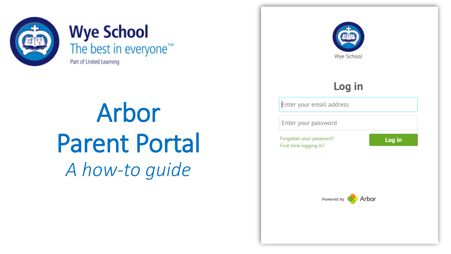

### **Wye School**<br>The best in everyone<sup>™</sup> Part of United Learning

Arbor Parent Portal *A how-to guide*

**Wye School** Log in Enter your email address Enter your password Forgotten your password? Log in First time logging in? Arbor Powered by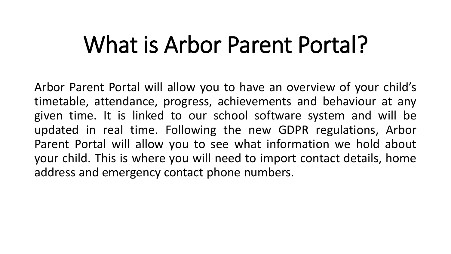### What is Arbor Parent Portal?

Arbor Parent Portal will allow you to have an overview of your child's timetable, attendance, progress, achievements and behaviour at any given time. It is linked to our school software system and will be updated in real time. Following the new GDPR regulations, Arbor Parent Portal will allow you to see what information we hold about your child. This is where you will need to import contact details, home address and emergency contact phone numbers.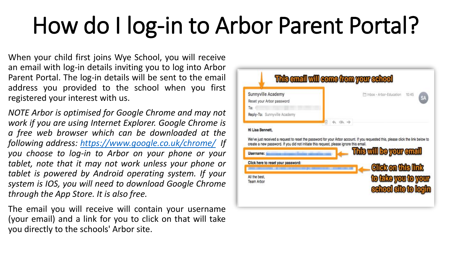### How do I log-in to Arbor Parent Portal?

When your child first joins Wye School, you will receive an email with log-in details inviting you to log into Arbor Parent Portal. The log-in details will be sent to the email address you provided to the school when you first registered your interest with us.

*NOTE Arbor is optimised for Google Chrome and may not work if you are using Internet Explorer. Google Chrome is a free web browser which can be downloaded at the following address: <https://www.google.co.uk/chrome/> If you choose to log-in to Arbor on your phone or your tablet, note that it may not work unless your phone or tablet is powered by Android operating system. If your system is IOS, you will need to download Google Chrome through the App Store. It is also free.*

The email you will receive will contain your username (your email) and a link for you to click on that will take you directly to the schools' Arbor site.

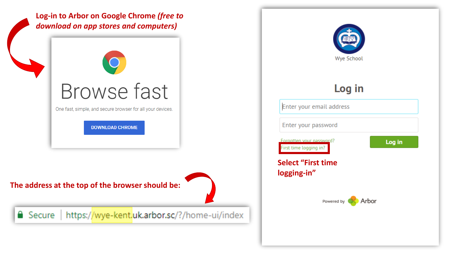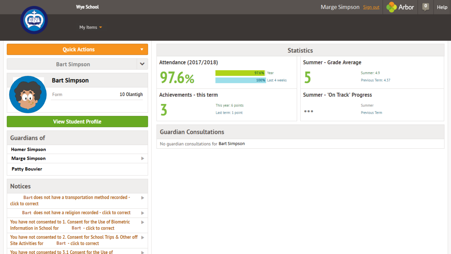

Marge Simpson Sign out **Company** Arbor

Help

My Items  $\sim$ 

|                            | <b>Quick Actions</b>                                                                                  |   |
|----------------------------|-------------------------------------------------------------------------------------------------------|---|
|                            | <b>Bart Simpson</b>                                                                                   |   |
|                            | <b>Bart Simpson</b>                                                                                   |   |
|                            | Form<br>10 Olantigh                                                                                   |   |
|                            | <b>View Student Profile</b>                                                                           |   |
| <b>Guardians of</b>        |                                                                                                       |   |
| <b>Homer Simpson</b>       |                                                                                                       |   |
| <b>Marge Simpson</b>       |                                                                                                       | ь |
| <b>Patty Bouvier</b>       |                                                                                                       |   |
| <b>Notices</b>             |                                                                                                       |   |
| click to correct           | Bart does not have a transportation method recorded -                                                 | ь |
|                            | Bart does not have a religion recorded - click to correct                                             | ь |
| Information in School for  | You have not consented to 1. Consent for the Use of Biometric<br><b>Bart - click to correct</b>       | ь |
| <b>Site Activities for</b> | You have not consented to 2. Consent for School Trips & Other off ▶<br><b>Bart - click to correct</b> |   |
|                            | You have not consented to 3.1 Consent for the Use of                                                  | ь |

|                                            |                                           | <b>Statistics</b>       |                                    |  |  |  |  |
|--------------------------------------------|-------------------------------------------|-------------------------|------------------------------------|--|--|--|--|
| <b>Attendance (2017/2018)</b>              |                                           | Summer - Grade Average  |                                    |  |  |  |  |
| 97.6%                                      | 97.6% Year<br>100% Last 4 weeks           |                         | Summer: 4.9<br>Previous Term: 4.37 |  |  |  |  |
| Achievements - this term                   |                                           |                         | Summer - 'On Track' Progress       |  |  |  |  |
|                                            | This year: 6 points<br>Last term: 1 point | $\bullet\bullet\bullet$ | Summer<br>Previous Term            |  |  |  |  |
| <b>Guardian Consultations</b>              |                                           |                         |                                    |  |  |  |  |
| No guardian consultations for Bart Simpson |                                           |                         |                                    |  |  |  |  |
|                                            |                                           |                         |                                    |  |  |  |  |
|                                            |                                           |                         |                                    |  |  |  |  |
|                                            |                                           |                         |                                    |  |  |  |  |
|                                            |                                           |                         |                                    |  |  |  |  |
|                                            |                                           |                         |                                    |  |  |  |  |
|                                            |                                           |                         |                                    |  |  |  |  |
|                                            |                                           |                         |                                    |  |  |  |  |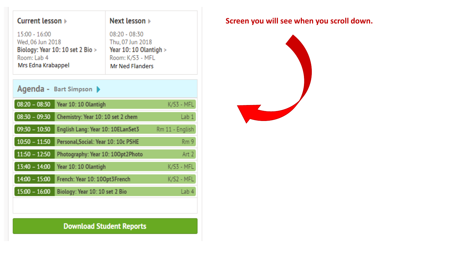| Current lesson ▶                                                                                           | Next lesson $\triangleright$                                                                                |  |  |
|------------------------------------------------------------------------------------------------------------|-------------------------------------------------------------------------------------------------------------|--|--|
| 15:00 - 16:00<br>Wed, 06 Jun 2018<br>Biology: Year 10: 10 set 2 Bio ><br>Room: Lab 4<br>Mrs Edna Krabappel | $08:20 - 08:30$<br>Thu, 07 Jun 2018<br>Year 10: 10 Olantigh ><br>Room: K/S3 - MFL<br><b>Mr Ned Flanders</b> |  |  |
| Agenda - Bart Simpson $\blacktriangleright$                                                                |                                                                                                             |  |  |
| $08:20 - 08:30$<br>Year 10: 10 Olantigh                                                                    | K/S3 - MFL                                                                                                  |  |  |
| $08:30 - 09:30$<br>Chemistry: Year 10: 10 set 2 chem                                                       | Lab 1                                                                                                       |  |  |
| $09:30 - 10:30$<br>English Lang: Year 10: 10ELanSet3                                                       | Rm 11 - English                                                                                             |  |  |
| $10:50 - 11:50$<br>Personal, Social: Year 10: 10c PSHE                                                     | Rm9                                                                                                         |  |  |
| $11:50 - 12:50$                                                                                            | Photography: Year 10: 100pt2Photo<br>Art 2                                                                  |  |  |
| $13:40 - 14:00$<br>Year 10: 10 Olantigh                                                                    | K/S3 - MFL                                                                                                  |  |  |
| $14:00 - 15:00$<br>French: Year 10: 100pt3French                                                           | K/S2 - MFL                                                                                                  |  |  |
| $15:00 - 16:00$<br>Biology: Year 10: 10 set 2 Bio                                                          | Lab 4                                                                                                       |  |  |

#### **Screen you will see when you scroll down.**



**Download Student Reports**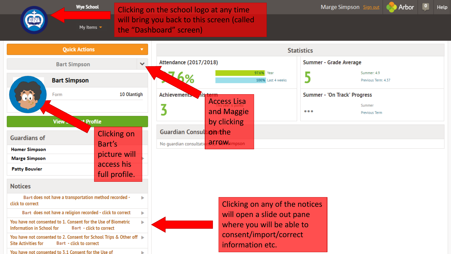Clicking on the school logo at any time will bring you back to this screen (called My Items  $\blacktriangledown$ the "Dashboard" screen)

**Wye School** 

Help

Arbor

| <b>Quick Actions</b>                                                                                                                | ▼                           | <b>Statistics</b>                                                                 |                         |                                                         |  |
|-------------------------------------------------------------------------------------------------------------------------------------|-----------------------------|-----------------------------------------------------------------------------------|-------------------------|---------------------------------------------------------|--|
| <b>Bart Simpson</b>                                                                                                                 | $\checkmark$                | Attendance (2017/2018)                                                            | Summer - Grade Average  |                                                         |  |
| <b>Bart Simpson</b>                                                                                                                 |                             | 97.6% Year<br>100% Last 4 weeks                                                   |                         | Summer: 4.9<br>Previous Term: 4.37                      |  |
| Form                                                                                                                                | 10 Olantigh                 | <b>Achievements</b><br><i><b>Ais term</b></i><br><b>Access Lisa</b><br>and Maggie | $\bullet\bullet\bullet$ | Summer - 'On Track' Progress<br>Summer<br>Previous Term |  |
| <b>*</b> Profile<br>View.<br><b>Guardians of</b>                                                                                    | <b>Clicking on</b>          | by clicking<br><b>Guardian Consult on the</b>                                     |                         |                                                         |  |
| <b>Homer Simpson</b><br><b>Marge Simpson</b>                                                                                        | Bart's<br>picture will      | ndffOWsimpson<br>No guardian consultation                                         |                         |                                                         |  |
| <b>Patty Bouvier</b>                                                                                                                | access his<br>full profile. |                                                                                   |                         |                                                         |  |
| <b>Notices</b>                                                                                                                      |                             |                                                                                   |                         |                                                         |  |
| Bart does not have a transportation method recorded -<br>click to correct                                                           |                             | Clicking on any of the notices                                                    |                         |                                                         |  |
| Bart does not have a religion recorded - click to correct<br>ь                                                                      |                             | will open a slide out pane                                                        |                         |                                                         |  |
| You have not consented to 1. Consent for the Use of Biometric<br><b>Information in School for</b><br><b>Bart - click to correct</b> |                             | where you will be able to                                                         |                         |                                                         |  |
| You have not consented to 2. Consent for School Trips & Other off ▶<br><b>Bart - click to correct</b><br><b>Site Activities for</b> |                             | consent/import/correct<br>information etc.                                        |                         |                                                         |  |
| You have not consented to 3.1 Consent for the Use of                                                                                |                             |                                                                                   |                         |                                                         |  |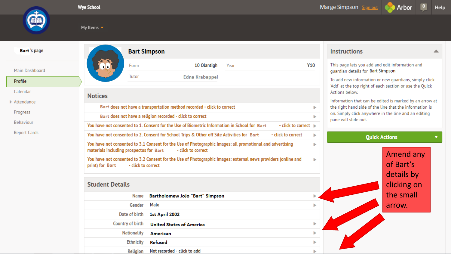



My Items  $\blacktriangledown$ 

#### **Bart** 's page

Main Dashboard

#### Profile

Calendar

 $\blacktriangleright$  Attendance

Progress

Behaviour

**Report Cards** 

|                                         |                                                                                                                  | <b>Bart Simpson</b>                                                                                                             |      |                      |            | <b>Instructions</b>                                                                                                                |  |  |
|-----------------------------------------|------------------------------------------------------------------------------------------------------------------|---------------------------------------------------------------------------------------------------------------------------------|------|----------------------|------------|------------------------------------------------------------------------------------------------------------------------------------|--|--|
|                                         | Form<br>Tutor                                                                                                    | 10 Olantigh                                                                                                                     | Year |                      | <b>Y10</b> | This page lets you add and edit information and<br>quardian details for Bart Simpson                                               |  |  |
| <b>Notices</b>                          |                                                                                                                  | <b>Edna Krabappel</b>                                                                                                           |      |                      |            | To add new information or new quardians, simply click<br>'Add' at the top right of each section or use the Quick<br>Actions below. |  |  |
|                                         |                                                                                                                  |                                                                                                                                 |      |                      |            | Information that can be edited is marked by an arrow at                                                                            |  |  |
|                                         |                                                                                                                  | Bart does not have a transportation method recorded - click to correct                                                          |      |                      |            | the right hand side of the line that the information is                                                                            |  |  |
|                                         |                                                                                                                  | Bart does not have a religion recorded - click to correct                                                                       |      |                      |            | on. Simply click anywhere in the line and an editing<br>pane will slide out.                                                       |  |  |
|                                         |                                                                                                                  | You have not consented to 1. Consent for the Use of Biometric Information in School for Bart                                    |      | - click to correct > |            |                                                                                                                                    |  |  |
|                                         | You have not consented to 2. Consent for School Trips & Other off Site Activities for Bart<br>- click to correct |                                                                                                                                 |      |                      |            | <b>Ouick Actions</b>                                                                                                               |  |  |
| materials including prospectus for Bart |                                                                                                                  | You have not consented to 3.1 Consent for the Use of Photographic Images: all promotional and advertising<br>- click to correct |      |                      | ь          |                                                                                                                                    |  |  |
| print) for Bart                         | - click to correct                                                                                               | You have not consented to 3.2 Consent for the Use of Photographic Images: external news providers (online and                   |      |                      | ь          | Amend any<br>of Bart's<br>details by                                                                                               |  |  |
| <b>Student Details</b>                  |                                                                                                                  |                                                                                                                                 |      |                      |            | clicking on                                                                                                                        |  |  |
|                                         | <b>Name</b>                                                                                                      | Bartholomew JoJo "Bart" Simpson                                                                                                 |      |                      |            | the small                                                                                                                          |  |  |
|                                         | Gender                                                                                                           | Male                                                                                                                            |      |                      |            | arrow.                                                                                                                             |  |  |
|                                         | Date of birth                                                                                                    | 1st April 2002                                                                                                                  |      |                      |            |                                                                                                                                    |  |  |
|                                         | <b>Country of birth</b>                                                                                          | <b>United States of America</b>                                                                                                 |      |                      |            |                                                                                                                                    |  |  |
|                                         | <b>Nationality</b>                                                                                               | American                                                                                                                        |      |                      |            |                                                                                                                                    |  |  |
|                                         | <b>Ethnicity</b>                                                                                                 | <b>Refused</b>                                                                                                                  |      |                      | ь          |                                                                                                                                    |  |  |
|                                         | <b>Religion</b>                                                                                                  | Not recorded - click to add                                                                                                     |      |                      |            |                                                                                                                                    |  |  |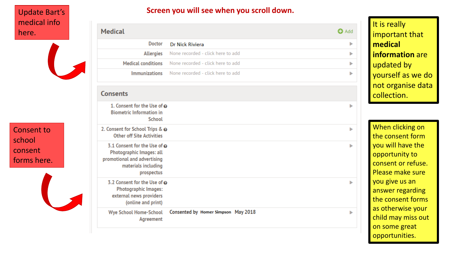#### Update Bart's medical info here.



Consent to school consent forms here.



| Screen you will see when you scroll down. |  |
|-------------------------------------------|--|
|-------------------------------------------|--|

| Medical                                                                                                                      |                                     | <b>O</b> Add |
|------------------------------------------------------------------------------------------------------------------------------|-------------------------------------|--------------|
| <b>Doctor</b>                                                                                                                | Dr Nick Riviera                     | Þ            |
| <b>Allergies</b>                                                                                                             | None recorded - click here to add   | Þ            |
| <b>Medical conditions</b>                                                                                                    | None recorded - click here to add   | Þ            |
| <b>Immunizations</b>                                                                                                         | None recorded - click here to add   | Þ            |
| Consents                                                                                                                     |                                     |              |
| 1. Consent for the Use of @<br><b>Biometric Information in</b><br><b>School</b>                                              |                                     | Þ            |
| 2. Consent for School Trips & @<br><b>Other off Site Activities</b>                                                          |                                     | Þ            |
| 3.1 Consent for the Use of @<br>Photographic Images: all<br>promotional and advertising<br>materials including<br>prospectus |                                     | Þ            |
| 3.2 Consent for the Use of @<br><b>Photographic Images:</b><br>external news providers<br>(online and print)                 |                                     | Þ            |
| <b>Wye School Home-School</b><br>Agreement                                                                                   | Consented by Homer Simpson May 2018 | Þ            |
|                                                                                                                              |                                     |              |

It is really important that **medical information** are updated by yourself as we do not organise data collection.

When clicking on the consent form you will have the opportunity to consent or refuse. Please make sure you give us an answer regarding the consent forms as otherwise your child may miss out on some great opportunities.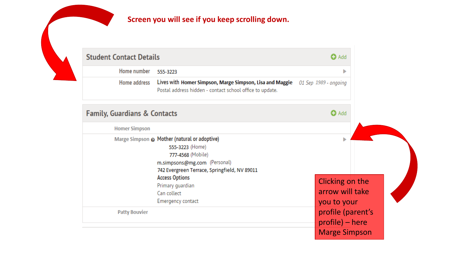#### **Screen you will see if you keep scrolling down.**

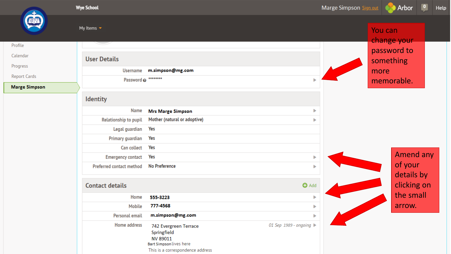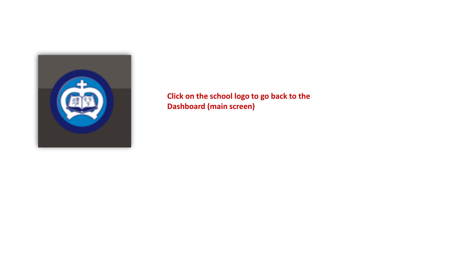![](_page_11_Picture_0.jpeg)

**Click on the school logo to go back to the Dashboard (main screen)**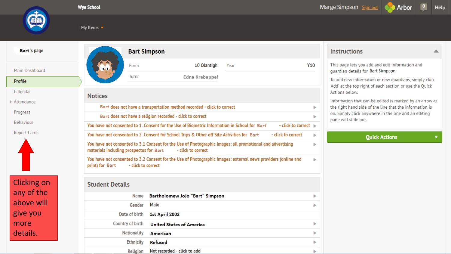![](_page_12_Picture_0.jpeg)

My Items  $\blacktriangledown$ 

![](_page_12_Picture_3.jpeg)

 $\blacktriangle$ 

 $\bullet$ 

|--|

Main Dashboard

#### Profile

Calendar

Attendance

Progress

Behaviour

**Report Cards** 

![](_page_12_Picture_13.jpeg)

**Clicking on** any of the above will give you more details.

|                                                                                                                                                      |                         | <b>Bart Simpson</b>                                                                          |                                                                                                               |            | <b>Instructions</b>                      |
|------------------------------------------------------------------------------------------------------------------------------------------------------|-------------------------|----------------------------------------------------------------------------------------------|---------------------------------------------------------------------------------------------------------------|------------|------------------------------------------|
|                                                                                                                                                      | Form                    | 10 Olantigh                                                                                  | Year                                                                                                          | <b>Y10</b> | This page lets you<br>guardian details f |
|                                                                                                                                                      | Tutor                   | <b>Edna Krabappel</b>                                                                        |                                                                                                               |            | To add new inforr                        |
|                                                                                                                                                      |                         |                                                                                              |                                                                                                               |            | 'Add' at the top rid<br>Actions below.   |
| <b>Notices</b>                                                                                                                                       |                         |                                                                                              |                                                                                                               |            | Information that                         |
|                                                                                                                                                      |                         | Bart does not have a transportation method recorded - click to correct                       |                                                                                                               | ь          | the right hand sid                       |
|                                                                                                                                                      |                         | Bart does not have a religion recorded - click to correct                                    |                                                                                                               | ь          | on. Simply click a<br>pane will slide ou |
|                                                                                                                                                      |                         | You have not consented to 1. Consent for the Use of Biometric Information in School for Bart | - click to correct >                                                                                          |            |                                          |
|                                                                                                                                                      |                         | You have not consented to 2. Consent for School Trips & Other off Site Activities for Bart   | - click to correct                                                                                            | ь          |                                          |
| You have not consented to 3.1 Consent for the Use of Photographic Images: all promotional and advertising<br>materials including prospectus for Bart | ь                       |                                                                                              |                                                                                                               |            |                                          |
| print) for Bart                                                                                                                                      | - click to correct      |                                                                                              | You have not consented to 3.2 Consent for the Use of Photographic Images: external news providers (online and | ь          |                                          |
| <b>Student Details</b>                                                                                                                               |                         |                                                                                              |                                                                                                               |            |                                          |
|                                                                                                                                                      | <b>Name</b>             | Bartholomew JoJo "Bart" Simpson                                                              |                                                                                                               | Þ          |                                          |
|                                                                                                                                                      | Gender                  | Male                                                                                         |                                                                                                               | ь          |                                          |
|                                                                                                                                                      | Date of birth           | 1st April 2002                                                                               |                                                                                                               |            |                                          |
|                                                                                                                                                      | <b>Country of birth</b> | <b>United States of America</b>                                                              |                                                                                                               | Þ          |                                          |
|                                                                                                                                                      | <b>Nationality</b>      | <b>American</b>                                                                              |                                                                                                               | ь          |                                          |
|                                                                                                                                                      | <b>Ethnicity</b>        | Refused                                                                                      |                                                                                                               | Þ          |                                          |
|                                                                                                                                                      | <b>Religion</b>         | Not recorded - click to add                                                                  |                                                                                                               | Þ          |                                          |

you add and edit information and Is for Bart Simpson

ormation or new guardians, simply click right of each section or use the Quick

at can be edited is marked by an arrow at side of the line that the information is anywhere in the line and an editing out.

**Quick Actions**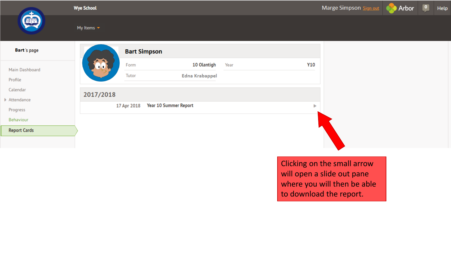![](_page_13_Picture_0.jpeg)

Clicking on the small arrow will open a slide out pane where you will then be able to download the report.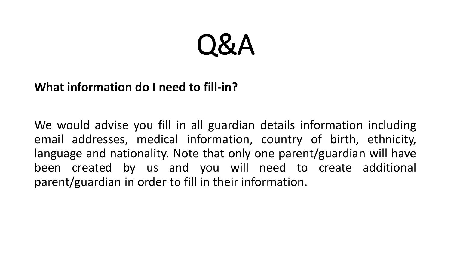### **What information do I need to fill-in?**

We would advise you fill in all guardian details information including email addresses, medical information, country of birth, ethnicity, language and nationality. Note that only one parent/guardian will have been created by us and you will need to create additional parent/guardian in order to fill in their information.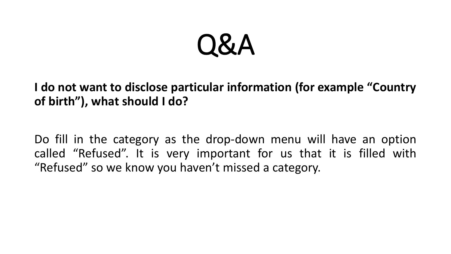**I do not want to disclose particular information (for example "Country of birth"), what should I do?**

Do fill in the category as the drop-down menu will have an option called "Refused". It is very important for us that it is filled with "Refused" so we know you haven't missed a category.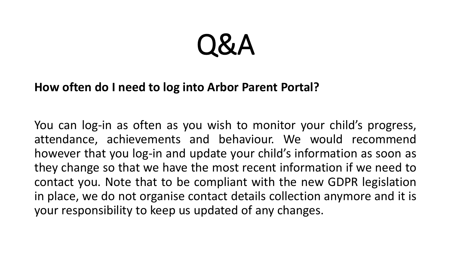### **How often do I need to log into Arbor Parent Portal?**

You can log-in as often as you wish to monitor your child's progress, attendance, achievements and behaviour. We would recommend however that you log-in and update your child's information as soon as they change so that we have the most recent information if we need to contact you. Note that to be compliant with the new GDPR legislation in place, we do not organise contact details collection anymore and it is your responsibility to keep us updated of any changes.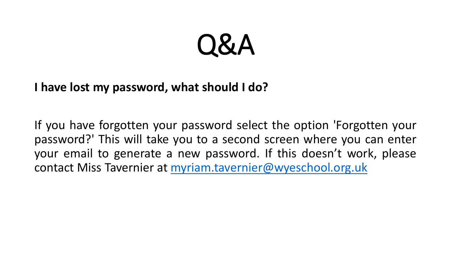### **I have lost my password, what should I do?**

If you have forgotten your password select the option 'Forgotten your password?' This will take you to a second screen where you can enter your email to generate a new password. If this doesn't work, please contact Miss Tavernier at [myriam.tavernier@wyeschool.org.uk](mailto:myriam.tavernier@wyeschool.org.uk)